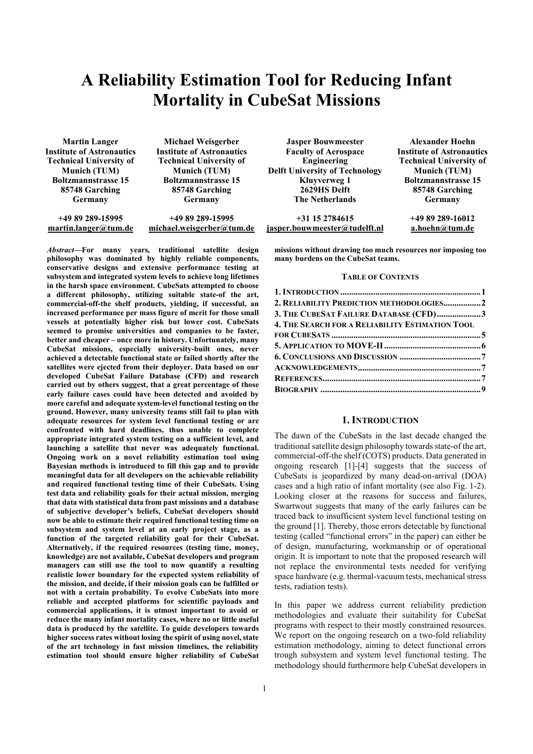# A Reliability Estimation Tool for Reducing Infant Mortality in CubeSat Missions

| <b>Martin Langer</b>             | Michael Weisgerber               | <b>Jasper Bouwmeester</b>             | <b>Alexander Hoehn</b>       |
|----------------------------------|----------------------------------|---------------------------------------|------------------------------|
| <b>Institute of Astronautics</b> | <b>Institute of Astronautics</b> | <b>Faculty of Aerospace</b>           | <b>Institute of Astronau</b> |
| <b>Technical University of</b>   | <b>Technical University of</b>   | Engineering                           | <b>Technical University</b>  |
| <b>Munich (TUM)</b>              | <b>Munich (TUM)</b>              | <b>Delft University of Technology</b> | <b>Munich (TUM)</b>          |
| <b>Boltzmannstrasse 15</b>       | <b>Boltzmannstrasse 15</b>       | Kluyverweg 1                          | <b>Boltzmannstrasse 1</b>    |
| 85748 Garching                   | 85748 Garching                   | 2629HS Delft                          | 85748 Garching               |
| Germany                          | Germany                          | <b>The Netherlands</b>                | Germany                      |
| $+4989289-15995$                 | +49 89 289-15995                 | $+31$ 15 2784615                      | +49 89 289-16012             |
| martin.langer@tum.de             | michael.weisgerber@tum.de        | iasper.bouwmeester@tudelft.nl         | a.hoehn@tum.de               |

*Abstract*—For many years, traditional satellite design philosophy was dominated by highly reliable components, conservative designs and extensive performance testing at subsystem and integrated system levels to achieve long lifetimes in the harsh space environment. CubeSats attempted to choose a different philosophy, utilizing suitable state-of the art, commercial-off-the shelf products, yielding, if successful, an increased performance per mass figure of merit for those small vessels at potentially higher risk but lower cost. CubeSats seemed to promise universities and companies to be faster, better and cheaper – once more in history. Unfortunately, many CubeSat missions, especially university-built ones, never achieved a detectable functional state or failed shortly after the satellites were ejected from their deployer. Data based on our developed CubeSat Failure Database (CFD) and research carried out by others suggest, that a great percentage of those early failure cases could have been detected and avoided by more careful and adequate system-level functional testing on the ground. However, many university teams still fail to plan with adequate resources for system level functional testing or are confronted with hard deadlines, thus unable to complete appropriate integrated system testing on a sufficient level, and launching a satellite that never was adequately functional. Ongoing work on a novel reliability estimation tool using Bayesian methods is introduced to fill this gap and to provide meaningful data for all developers on the achievable reliability and required functional testing time of their CubeSats. Using test data and reliability goals for their actual mission, merging that data with statistical data from past missions and a database of subjective developer's beliefs, CubeSat developers should now be able to estimate their required functional testing time on subsystem and system level at an early project stage, as a function of the targeted reliability goal for their CubeSat. Alternatively, if the required resources (testing time, money, knowledge) are not available, CubeSat developers and program managers can still use the tool to now quantify a resulting realistic lower boundary for the expected system reliability of the mission, and decide, if their mission goals can be fulfilled or not with a certain probability. To evolve CubeSats into more reliable and accepted platforms for scientific payloads and commercial applications, it is utmost important to avoid or reduce the many infant mortality cases, where no or little useful data is produced by the satellite. To guide developers towards higher success rates without losing the spirit of using novel, state of the art technology in fast mission timelines, the reliability estimation tool should ensure higher reliability of CubeSat

Institute of Astronautics Technical University of Boltzmannstrasse 15

missions without drawing too much resources nor imposing too many burdens on the CubeSat teams.

#### TABLE OF CONTENTS

| 2. RELIABILITY PREDICTION METHODOLOGIES2        |  |
|-------------------------------------------------|--|
| 3. THE CUBESAT FAILURE DATABASE (CFD)3          |  |
| 4. THE SEARCH FOR A RELIABILITY ESTIMATION TOOL |  |
|                                                 |  |
|                                                 |  |
|                                                 |  |
|                                                 |  |
|                                                 |  |
|                                                 |  |
|                                                 |  |

## 1. INTRODUCTION

The dawn of the CubeSats in the last decade changed the traditional satellite design philosophy towards state-of the art, commercial-off-the shelf (COTS) products. Data generated in ongoing research [1]-[4] suggests that the success of CubeSats is jeopardized by many dead-on-arrival (DOA) cases and a high ratio of infant mortality (see also Fig. 1-2). Looking closer at the reasons for success and failures, Swartwout suggests that many of the early failures can be traced back to insufficient system level functional testing on the ground [1]. Thereby, those errors detectable by functional testing (called "functional errors" in the paper) can either be of design, manufacturing, workmanship or of operational origin. It is important to note that the proposed research will not replace the environmental tests needed for verifying space hardware (e.g. thermal-vacuum tests, mechanical stress tests, radiation tests).

In this paper we address current reliability prediction methodologies and evaluate their suitability for CubeSat programs with respect to their mostly constrained resources. We report on the ongoing research on a two-fold reliability estimation methodology, aiming to detect functional errors trough subsystem and system level functional testing. The methodology should furthermore help CubeSat developers in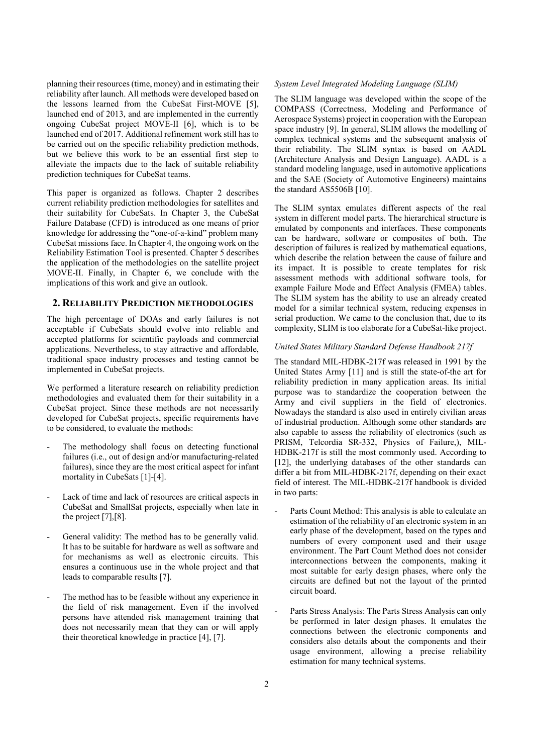planning their resources (time, money) and in estimating their reliability after launch. All methods were developed based on the lessons learned from the CubeSat First-MOVE [5], launched end of 2013, and are implemented in the currently ongoing CubeSat project MOVE-II [6], which is to be launched end of 2017. Additional refinement work still has to be carried out on the specific reliability prediction methods, but we believe this work to be an essential first step to alleviate the impacts due to the lack of suitable reliability prediction techniques for CubeSat teams.

This paper is organized as follows. Chapter 2 describes current reliability prediction methodologies for satellites and their suitability for CubeSats. In Chapter 3, the CubeSat Failure Database (CFD) is introduced as one means of prior knowledge for addressing the "one-of-a-kind" problem many CubeSat missions face. In Chapter 4, the ongoing work on the Reliability Estimation Tool is presented. Chapter 5 describes the application of the methodologies on the satellite project MOVE-II. Finally, in Chapter 6, we conclude with the implications of this work and give an outlook.

## 2. RELIABILITY PREDICTION METHODOLOGIES

The high percentage of DOAs and early failures is not acceptable if CubeSats should evolve into reliable and accepted platforms for scientific payloads and commercial applications. Nevertheless, to stay attractive and affordable, traditional space industry processes and testing cannot be implemented in CubeSat projects.

We performed a literature research on reliability prediction methodologies and evaluated them for their suitability in a CubeSat project. Since these methods are not necessarily developed for CubeSat projects, specific requirements have to be considered, to evaluate the methods:

- The methodology shall focus on detecting functional failures (i.e., out of design and/or manufacturing-related failures), since they are the most critical aspect for infant mortality in CubeSats [1]-[4].
- Lack of time and lack of resources are critical aspects in CubeSat and SmallSat projects, especially when late in the project [7],[8].
- General validity: The method has to be generally valid. It has to be suitable for hardware as well as software and for mechanisms as well as electronic circuits. This ensures a continuous use in the whole project and that leads to comparable results [7].
- The method has to be feasible without any experience in the field of risk management. Even if the involved persons have attended risk management training that does not necessarily mean that they can or will apply their theoretical knowledge in practice [4], [7].

## *System Level Integrated Modeling Language (SLIM)*

The SLIM language was developed within the scope of the COMPASS (Correctness, Modeling and Performance of Aerospace Systems) project in cooperation with the European space industry [9]. In general, SLIM allows the modelling of complex technical systems and the subsequent analysis of their reliability. The SLIM syntax is based on AADL (Architecture Analysis and Design Language). AADL is a standard modeling language, used in automotive applications and the SAE (Society of Automotive Engineers) maintains the standard AS5506B [10].

The SLIM syntax emulates different aspects of the real system in different model parts. The hierarchical structure is emulated by components and interfaces. These components can be hardware, software or composites of both. The description of failures is realized by mathematical equations, which describe the relation between the cause of failure and its impact. It is possible to create templates for risk assessment methods with additional software tools, for example Failure Mode and Effect Analysis (FMEA) tables. The SLIM system has the ability to use an already created model for a similar technical system, reducing expenses in serial production. We came to the conclusion that, due to its complexity, SLIM is too elaborate for a CubeSat-like project.

## *United States Military Standard Defense Handbook 217f*

The standard MIL-HDBK-217f was released in 1991 by the United States Army [11] and is still the state-of-the art for reliability prediction in many application areas. Its initial purpose was to standardize the cooperation between the Army and civil suppliers in the field of electronics. Nowadays the standard is also used in entirely civilian areas of industrial production. Although some other standards are also capable to assess the reliability of electronics (such as PRISM, Telcordia SR-332, Physics of Failure,), MIL-HDBK-217f is still the most commonly used. According to [12], the underlying databases of the other standards can differ a bit from MIL-HDBK-217f, depending on their exact field of interest. The MIL-HDBK-217f handbook is divided in two parts:

- Parts Count Method: This analysis is able to calculate an estimation of the reliability of an electronic system in an early phase of the development, based on the types and numbers of every component used and their usage environment. The Part Count Method does not consider interconnections between the components, making it most suitable for early design phases, where only the circuits are defined but not the layout of the printed circuit board.
- Parts Stress Analysis: The Parts Stress Analysis can only be performed in later design phases. It emulates the connections between the electronic components and considers also details about the components and their usage environment, allowing a precise reliability estimation for many technical systems.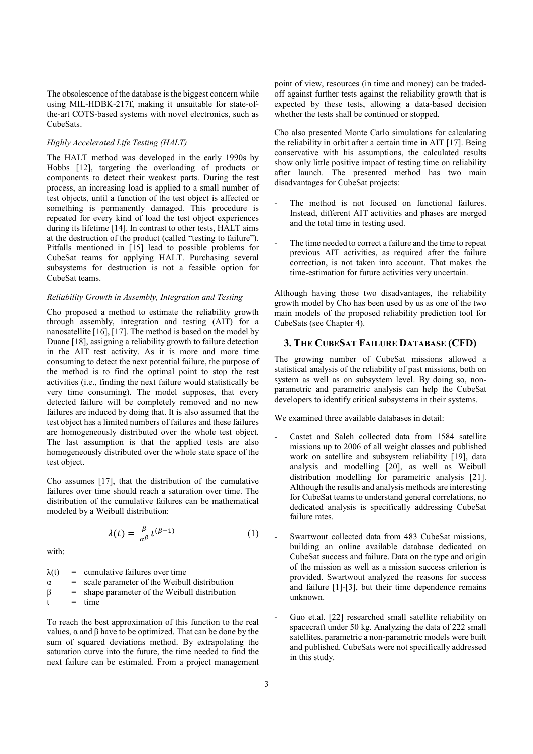The obsolescence of the database is the biggest concern while using MIL-HDBK-217f, making it unsuitable for state-ofthe-art COTS-based systems with novel electronics, such as CubeSats.

## *Highly Accelerated Life Testing (HALT)*

The HALT method was developed in the early 1990s by Hobbs [12], targeting the overloading of products or components to detect their weakest parts. During the test process, an increasing load is applied to a small number of test objects, until a function of the test object is affected or something is permanently damaged. This procedure is repeated for every kind of load the test object experiences during its lifetime [14]. In contrast to other tests, HALT aims at the destruction of the product (called "testing to failure"). Pitfalls mentioned in [15] lead to possible problems for CubeSat teams for applying HALT. Purchasing several subsystems for destruction is not a feasible option for CubeSat teams.

## *Reliability Growth in Assembly, Integration and Testing*

Cho proposed a method to estimate the reliability growth through assembly, integration and testing (AIT) for a nanosatellite [16], [17]. The method is based on the model by Duane [18], assigning a reliability growth to failure detection in the AIT test activity. As it is more and more time consuming to detect the next potential failure, the purpose of the method is to find the optimal point to stop the test activities (i.e., finding the next failure would statistically be very time consuming). The model supposes, that every detected failure will be completely removed and no new failures are induced by doing that. It is also assumed that the test object has a limited numbers of failures and these failures are homogeneously distributed over the whole test object. The last assumption is that the applied tests are also homogeneously distributed over the whole state space of the test object.

Cho assumes [17], that the distribution of the cumulative failures over time should reach a saturation over time. The distribution of the cumulative failures can be mathematical modeled by a Weibull distribution:

$$
\lambda(t) = \frac{\beta}{\alpha^{\beta}} t^{(\beta - 1)} \tag{1}
$$

with:

 $\lambda(t)$  = cumulative failures over time  $\alpha$  = scale parameter of the Weibull distribution  $β = shape parameter of the Weibull distribution$  $t = time$ 

To reach the best approximation of this function to the real values, α and β have to be optimized. That can be done by the sum of squared deviations method. By extrapolating the saturation curve into the future, the time needed to find the next failure can be estimated. From a project management point of view, resources (in time and money) can be tradedoff against further tests against the reliability growth that is expected by these tests, allowing a data-based decision whether the tests shall be continued or stopped.

Cho also presented Monte Carlo simulations for calculating the reliability in orbit after a certain time in AIT [17]. Being conservative with his assumptions, the calculated results show only little positive impact of testing time on reliability after launch. The presented method has two main disadvantages for CubeSat projects:

- The method is not focused on functional failures. Instead, different AIT activities and phases are merged and the total time in testing used.
- The time needed to correct a failure and the time to repeat previous AIT activities, as required after the failure correction, is not taken into account. That makes the time-estimation for future activities very uncertain.

Although having those two disadvantages, the reliability growth model by Cho has been used by us as one of the two main models of the proposed reliability prediction tool for CubeSats (see Chapter 4).

## 3. THE CUBESAT FAILURE DATABASE (CFD)

The growing number of CubeSat missions allowed a statistical analysis of the reliability of past missions, both on system as well as on subsystem level. By doing so, nonparametric and parametric analysis can help the CubeSat developers to identify critical subsystems in their systems.

We examined three available databases in detail:

- Castet and Saleh collected data from 1584 satellite missions up to 2006 of all weight classes and published work on satellite and subsystem reliability [19], data analysis and modelling [20], as well as Weibull distribution modelling for parametric analysis [21]. Although the results and analysis methods are interesting for CubeSat teams to understand general correlations, no dedicated analysis is specifically addressing CubeSat failure rates.
- Swartwout collected data from 483 CubeSat missions, building an online available database dedicated on CubeSat success and failure. Data on the type and origin of the mission as well as a mission success criterion is provided. Swartwout analyzed the reasons for success and failure [1]-[3], but their time dependence remains unknown.
- Guo et.al. [22] researched small satellite reliability on spacecraft under 50 kg. Analyzing the data of 222 small satellites, parametric a non-parametric models were built and published. CubeSats were not specifically addressed in this study.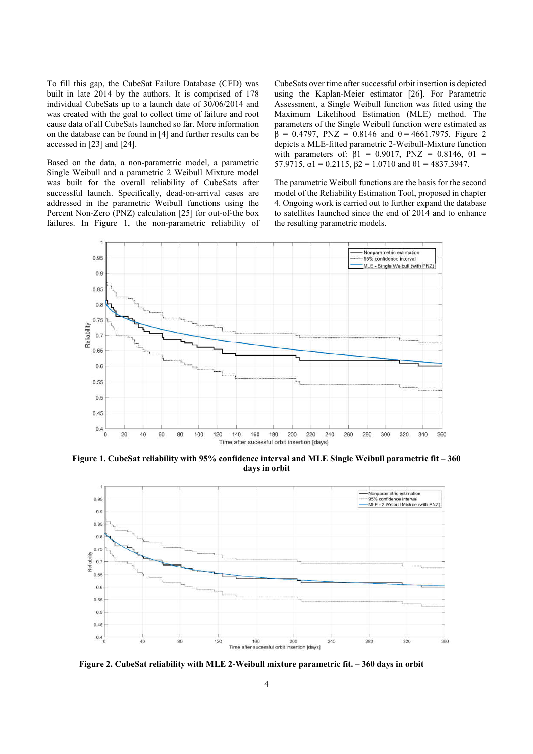To fill this gap, the CubeSat Failure Database (CFD) was built in late 2014 by the authors. It is comprised of 178 individual CubeSats up to a launch date of 30/06/2014 and was created with the goal to collect time of failure and root cause data of all CubeSats launched so far. More information on the database can be found in [4] and further results can be accessed in [23] and [24].

Based on the data, a non-parametric model, a parametric Single Weibull and a parametric 2 Weibull Mixture model was built for the overall reliability of CubeSats after successful launch. Specifically, dead-on-arrival cases are addressed in the parametric Weibull functions using the Percent Non-Zero (PNZ) calculation [25] for out-of-the box failures. In Figure 1, the non-parametric reliability of CubeSats over time after successful orbit insertion is depicted using the Kaplan-Meier estimator [26]. For Parametric Assessment, a Single Weibull function was fitted using the Maximum Likelihood Estimation (MLE) method. The parameters of the Single Weibull function were estimated as  $β = 0.4797$ , PNZ = 0.8146 and θ = 4661.7975. Figure 2 depicts a MLE-fitted parametric 2-Weibull-Mixture function with parameters of:  $β1 = 0.9017$ ,  $PNZ = 0.8146$ ,  $θ1 =$ 57.9715,  $\alpha$ 1 = 0.2115,  $\beta$ 2 = 1.0710 and  $\theta$ 1 = 4837.3947.

The parametric Weibull functions are the basis for the second model of the Reliability Estimation Tool, proposed in chapter 4. Ongoing work is carried out to further expand the database to satellites launched since the end of 2014 and to enhance the resulting parametric models.



Figure 1. CubeSat reliability with 95% confidence interval and MLE Single Weibull parametric fit – 360 days in orbit



Figure 2. CubeSat reliability with MLE 2-Weibull mixture parametric fit. – 360 days in orbit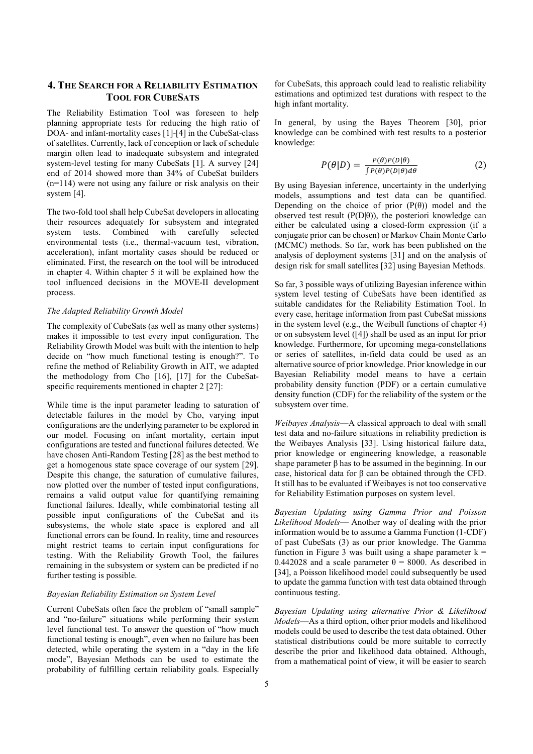# 4. THE SEARCH FOR A RELIABILITY ESTIMATION TOOL FOR CUBESATS

The Reliability Estimation Tool was foreseen to help planning appropriate tests for reducing the high ratio of DOA- and infant-mortality cases [1]-[4] in the CubeSat-class of satellites. Currently, lack of conception or lack of schedule margin often lead to inadequate subsystem and integrated system-level testing for many CubeSats [1]. A survey [24] end of 2014 showed more than 34% of CubeSat builders (n=114) were not using any failure or risk analysis on their system [4].

The two-fold tool shall help CubeSat developers in allocating their resources adequately for subsystem and integrated<br>system tests. Combined with carefully selected Combined with carefully selected environmental tests (i.e., thermal-vacuum test, vibration, acceleration), infant mortality cases should be reduced or eliminated. First, the research on the tool will be introduced in chapter 4. Within chapter 5 it will be explained how the tool influenced decisions in the MOVE-II development process.

#### *The Adapted Reliability Growth Model*

The complexity of CubeSats (as well as many other systems) makes it impossible to test every input configuration. The Reliability Growth Model was built with the intention to help decide on "how much functional testing is enough?". To refine the method of Reliability Growth in AIT, we adapted the methodology from Cho [16], [17] for the CubeSatspecific requirements mentioned in chapter 2 [27]:

While time is the input parameter leading to saturation of detectable failures in the model by Cho, varying input configurations are the underlying parameter to be explored in our model. Focusing on infant mortality, certain input configurations are tested and functional failures detected. We have chosen Anti-Random Testing [28] as the best method to get a homogenous state space coverage of our system [29]. Despite this change, the saturation of cumulative failures, now plotted over the number of tested input configurations, remains a valid output value for quantifying remaining functional failures. Ideally, while combinatorial testing all possible input configurations of the CubeSat and its subsystems, the whole state space is explored and all functional errors can be found. In reality, time and resources might restrict teams to certain input configurations for testing. With the Reliability Growth Tool, the failures remaining in the subsystem or system can be predicted if no further testing is possible.

## *Bayesian Reliability Estimation on System Level*

Current CubeSats often face the problem of "small sample" and "no-failure" situations while performing their system level functional test. To answer the question of "how much functional testing is enough", even when no failure has been detected, while operating the system in a "day in the life mode", Bayesian Methods can be used to estimate the probability of fulfilling certain reliability goals. Especially

for CubeSats, this approach could lead to realistic reliability estimations and optimized test durations with respect to the high infant mortality.

In general, by using the Bayes Theorem [30], prior knowledge can be combined with test results to a posterior knowledge:

$$
P(\theta|D) = \frac{P(\theta)P(D|\theta)}{\int P(\theta)P(D|\theta)d\theta}
$$
 (2)

By using Bayesian inference, uncertainty in the underlying models, assumptions and test data can be quantified. Depending on the choice of prior  $(P(\theta))$  model and the observed test result ( $P(D|\theta)$ ), the posteriori knowledge can either be calculated using a closed-form expression (if a conjugate prior can be chosen) or Markov Chain Monte Carlo (MCMC) methods. So far, work has been published on the analysis of deployment systems [31] and on the analysis of design risk for small satellites [32] using Bayesian Methods.

So far, 3 possible ways of utilizing Bayesian inference within system level testing of CubeSats have been identified as suitable candidates for the Reliability Estimation Tool. In every case, heritage information from past CubeSat missions in the system level (e.g., the Weibull functions of chapter 4) or on subsystem level ([4]) shall be used as an input for prior knowledge. Furthermore, for upcoming mega-constellations or series of satellites, in-field data could be used as an alternative source of prior knowledge. Prior knowledge in our Bayesian Reliability model means to have a certain probability density function (PDF) or a certain cumulative density function (CDF) for the reliability of the system or the subsystem over time.

*Weibayes Analysis*—A classical approach to deal with small test data and no-failure situations in reliability prediction is the Weibayes Analysis [33]. Using historical failure data, prior knowledge or engineering knowledge, a reasonable shape parameter  $\beta$  has to be assumed in the beginning. In our case, historical data for β can be obtained through the CFD. It still has to be evaluated if Weibayes is not too conservative for Reliability Estimation purposes on system level.

*Bayesian Updating using Gamma Prior and Poisson Likelihood Models*— Another way of dealing with the prior information would be to assume a Gamma Function (1-CDF) of past CubeSats (3) as our prior knowledge. The Gamma function in Figure 3 was built using a shape parameter  $k =$ 0.442028 and a scale parameter  $\theta = 8000$ . As described in [34], a Poisson likelihood model could subsequently be used to update the gamma function with test data obtained through continuous testing.

*Bayesian Updating using alternative Prior & Likelihood Models*—As a third option, other prior models and likelihood models could be used to describe the test data obtained. Other statistical distributions could be more suitable to correctly describe the prior and likelihood data obtained. Although, from a mathematical point of view, it will be easier to search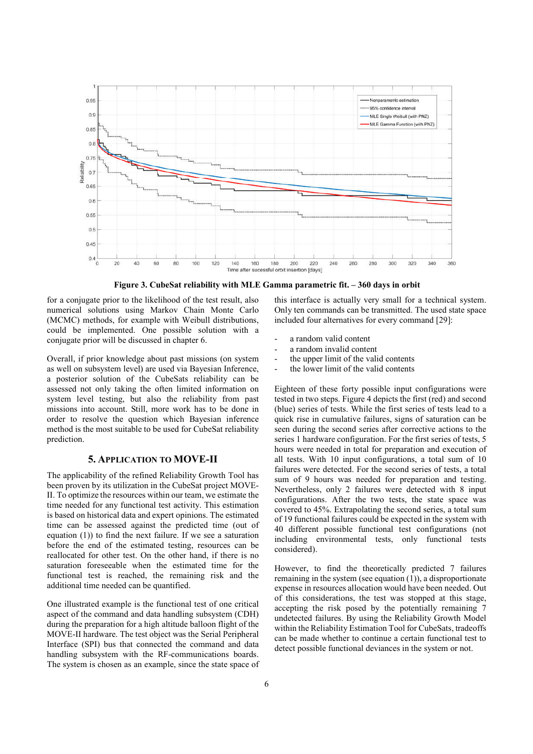

Figure 3. CubeSat reliability with MLE Gamma parametric fit. – 360 days in orbit

for a conjugate prior to the likelihood of the test result, also numerical solutions using Markov Chain Monte Carlo (MCMC) methods, for example with Weibull distributions, could be implemented. One possible solution with a conjugate prior will be discussed in chapter 6.

Overall, if prior knowledge about past missions (on system as well on subsystem level) are used via Bayesian Inference, a posterior solution of the CubeSats reliability can be assessed not only taking the often limited information on system level testing, but also the reliability from past missions into account. Still, more work has to be done in order to resolve the question which Bayesian inference method is the most suitable to be used for CubeSat reliability prediction.

## 5. APPLICATION TO MOVE-II

The applicability of the refined Reliability Growth Tool has been proven by its utilization in the CubeSat project MOVE-II. To optimize the resources within our team, we estimate the time needed for any functional test activity. This estimation is based on historical data and expert opinions. The estimated time can be assessed against the predicted time (out of equation (1)) to find the next failure. If we see a saturation before the end of the estimated testing, resources can be reallocated for other test. On the other hand, if there is no saturation foreseeable when the estimated time for the functional test is reached, the remaining risk and the additional time needed can be quantified.

One illustrated example is the functional test of one critical aspect of the command and data handling subsystem (CDH) during the preparation for a high altitude balloon flight of the MOVE-II hardware. The test object was the Serial Peripheral Interface (SPI) bus that connected the command and data handling subsystem with the RF-communications boards. The system is chosen as an example, since the state space of this interface is actually very small for a technical system. Only ten commands can be transmitted. The used state space included four alternatives for every command [29]:

- a random valid content
- a random invalid content
- the upper limit of the valid contents
- the lower limit of the valid contents

Eighteen of these forty possible input configurations were tested in two steps. Figure 4 depicts the first (red) and second (blue) series of tests. While the first series of tests lead to a quick rise in cumulative failures, signs of saturation can be seen during the second series after corrective actions to the series 1 hardware configuration. For the first series of tests, 5 hours were needed in total for preparation and execution of all tests. With 10 input configurations, a total sum of 10 failures were detected. For the second series of tests, a total sum of 9 hours was needed for preparation and testing. Nevertheless, only 2 failures were detected with 8 input configurations. After the two tests, the state space was covered to 45%. Extrapolating the second series, a total sum of 19 functional failures could be expected in the system with 40 different possible functional test configurations (not including environmental tests, only functional tests considered).

However, to find the theoretically predicted 7 failures remaining in the system (see equation (1)), a disproportionate expense in resources allocation would have been needed. Out of this considerations, the test was stopped at this stage, accepting the risk posed by the potentially remaining 7 undetected failures. By using the Reliability Growth Model within the Reliability Estimation Tool for CubeSats, tradeoffs can be made whether to continue a certain functional test to detect possible functional deviances in the system or not.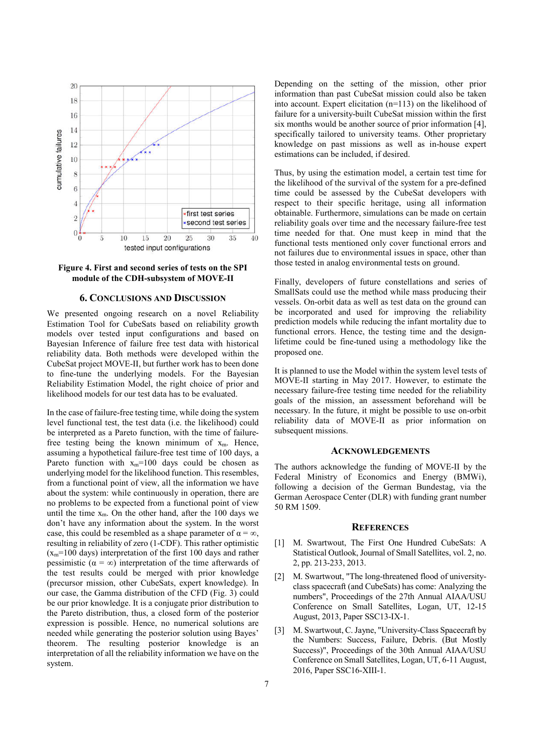



## 6. CONCLUSIONS AND DISCUSSION

We presented ongoing research on a novel Reliability Estimation Tool for CubeSats based on reliability growth models over tested input configurations and based on Bayesian Inference of failure free test data with historical reliability data. Both methods were developed within the CubeSat project MOVE-II, but further work has to been done to fine-tune the underlying models. For the Bayesian Reliability Estimation Model, the right choice of prior and likelihood models for our test data has to be evaluated.

In the case of failure-free testing time, while doing the system level functional test, the test data (i.e. the likelihood) could be interpreted as a Pareto function, with the time of failurefree testing being the known minimum of  $x_m$ . Hence, assuming a hypothetical failure-free test time of 100 days, a Pareto function with  $x_m=100$  days could be chosen as underlying model for the likelihood function. This resembles, from a functional point of view, all the information we have about the system: while continuously in operation, there are no problems to be expected from a functional point of view until the time  $x_m$ . On the other hand, after the 100 days we don't have any information about the system. In the worst case, this could be resembled as a shape parameter of  $\alpha = \infty$ , resulting in reliability of zero (1-CDF). This rather optimistic  $(x_m=100 \text{ days})$  interpretation of the first 100 days and rather pessimistic ( $\alpha = \infty$ ) interpretation of the time afterwards of the test results could be merged with prior knowledge (precursor mission, other CubeSats, expert knowledge). In our case, the Gamma distribution of the CFD (Fig. 3) could be our prior knowledge. It is a conjugate prior distribution to the Pareto distribution, thus, a closed form of the posterior expression is possible. Hence, no numerical solutions are needed while generating the posterior solution using Bayes' theorem. The resulting posterior knowledge is an interpretation of all the reliability information we have on the system.

Depending on the setting of the mission, other prior information than past CubeSat mission could also be taken into account. Expert elicitation (n=113) on the likelihood of failure for a university-built CubeSat mission within the first six months would be another source of prior information [4], specifically tailored to university teams. Other proprietary knowledge on past missions as well as in-house expert estimations can be included, if desired.

Thus, by using the estimation model, a certain test time for the likelihood of the survival of the system for a pre-defined time could be assessed by the CubeSat developers with respect to their specific heritage, using all information obtainable. Furthermore, simulations can be made on certain reliability goals over time and the necessary failure-free test time needed for that. One must keep in mind that the functional tests mentioned only cover functional errors and not failures due to environmental issues in space, other than those tested in analog environmental tests on ground.

Finally, developers of future constellations and series of SmallSats could use the method while mass producing their vessels. On-orbit data as well as test data on the ground can be incorporated and used for improving the reliability prediction models while reducing the infant mortality due to functional errors. Hence, the testing time and the designlifetime could be fine-tuned using a methodology like the proposed one.

It is planned to use the Model within the system level tests of MOVE-II starting in May 2017. However, to estimate the necessary failure-free testing time needed for the reliability goals of the mission, an assessment beforehand will be necessary. In the future, it might be possible to use on-orbit reliability data of MOVE-II as prior information on subsequent missions.

## **ACKNOWLEDGEMENTS**

The authors acknowledge the funding of MOVE-II by the Federal Ministry of Economics and Energy (BMWi), following a decision of the German Bundestag, via the German Aerospace Center (DLR) with funding grant number 50 RM 1509.

#### **REFERENCES**

- [1] M. Swartwout, The First One Hundred CubeSats: A Statistical Outlook, Journal of Small Satellites, vol. 2, no. 2, pp. 213-233, 2013.
- [2] M. Swartwout, "The long-threatened flood of universityclass spacecraft (and CubeSats) has come: Analyzing the numbers", Proceedings of the 27th Annual AIAA/USU Conference on Small Satellites, Logan, UT, 12-15 August, 2013, Paper SSC13-IX-1.
- [3] M. Swartwout, C. Jayne, "University-Class Spacecraft by the Numbers: Success, Failure, Debris. (But Mostly Success)", Proceedings of the 30th Annual AIAA/USU Conference on Small Satellites, Logan, UT, 6-11 August, 2016, Paper SSC16-XIII-1.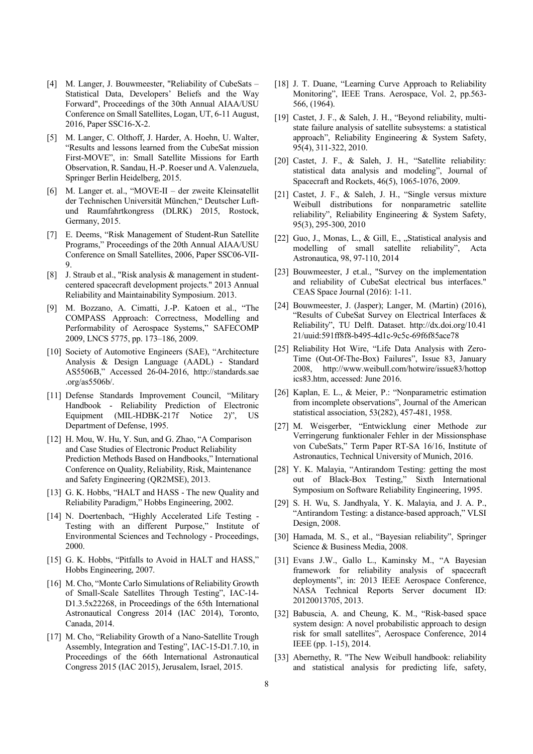- [4] M. Langer, J. Bouwmeester, "Reliability of CubeSats Statistical Data, Developers' Beliefs and the Way Forward", Proceedings of the 30th Annual AIAA/USU Conference on Small Satellites, Logan, UT, 6-11 August, 2016, Paper SSC16-X-2.
- [5] M. Langer, C. Olthoff, J. Harder, A. Hoehn, U. Walter, "Results and lessons learned from the CubeSat mission First-MOVE", in: Small Satellite Missions for Earth Observation, R. Sandau, H.-P. Roeser und A. Valenzuela, Springer Berlin Heidelberg, 2015.
- [6] M. Langer et. al., "MOVE-II der zweite Kleinsatellit der Technischen Universität München," Deutscher Luftund Raumfahrtkongress (DLRK) 2015, Rostock, Germany, 2015.
- [7] E. Deems, "Risk Management of Student-Run Satellite Programs," Proceedings of the 20th Annual AIAA/USU Conference on Small Satellites, 2006, Paper SSC06-VII- $\mathbf Q$
- [8] J. Straub et al., "Risk analysis & management in studentcentered spacecraft development projects." 2013 Annual Reliability and Maintainability Symposium. 2013.
- [9] M. Bozzano, A. Cimatti, J.-P. Katoen et al., "The COMPASS Approach: Correctness, Modelling and Performability of Aerospace Systems," SAFECOMP 2009, LNCS 5775, pp. 173–186, 2009.
- [10] Society of Automotive Engineers (SAE), "Architecture Analysis & Design Language (AADL) - Standard AS5506B," Accessed 26-04-2016, http://standards.sae .org/as5506b/.
- [11] Defense Standards Improvement Council, "Military Handbook - Reliability Prediction of Electronic Equipment (MIL-HDBK-217f Notice 2)", US Department of Defense, 1995.
- [12] H. Mou, W. Hu, Y. Sun, and G. Zhao, "A Comparison and Case Studies of Electronic Product Reliability Prediction Methods Based on Handbooks," International Conference on Quality, Reliability, Risk, Maintenance and Safety Engineering (QR2MSE), 2013.
- [13] G. K. Hobbs, "HALT and HASS The new Quality and Reliability Paradigm," Hobbs Engineering, 2002.
- [14] N. Doertenbach, "Highly Accelerated Life Testing -Testing with an different Purpose," Institute of Environmental Sciences and Technology - Proceedings, 2000.
- [15] G. K. Hobbs, "Pitfalls to Avoid in HALT and HASS," Hobbs Engineering, 2007.
- [16] M. Cho, "Monte Carlo Simulations of Reliability Growth of Small-Scale Satellites Through Testing", IAC-14- D1.3.5x22268, in Proceedings of the 65th International Astronautical Congress 2014 (IAC 2014), Toronto, Canada, 2014.
- [17] M. Cho, "Reliability Growth of a Nano-Satellite Trough Assembly, Integration and Testing", IAC-15-D1.7.10, in Proceedings of the 66th International Astronautical Congress 2015 (IAC 2015), Jerusalem, Israel, 2015.
- [18] J. T. Duane, "Learning Curve Approach to Reliability Monitoring", IEEE Trans. Aerospace, Vol. 2, pp.563- 566, (1964).
- [19] Castet, J. F., & Saleh, J. H., "Beyond reliability, multistate failure analysis of satellite subsystems: a statistical approach", Reliability Engineering & System Safety, 95(4), 311-322, 2010.
- [20] Castet, J. F., & Saleh, J. H., "Satellite reliability: statistical data analysis and modeling", Journal of Spacecraft and Rockets, 46(5), 1065-1076, 2009.
- [21] Castet, J. F., & Saleh, J. H., "Single versus mixture Weibull distributions for nonparametric satellite reliability", Reliability Engineering & System Safety, 95(3), 295-300, 2010
- [22] Guo, J., Monas, L., & Gill, E., "Statistical analysis and modelling of small satellite reliability", Acta Astronautica, 98, 97-110, 2014
- [23] Bouwmeester, J et.al., "Survey on the implementation and reliability of CubeSat electrical bus interfaces." CEAS Space Journal (2016): 1-11.
- [24] Bouwmeester, J. (Jasper); Langer, M. (Martin) (2016), "Results of CubeSat Survey on Electrical Interfaces & Reliability", TU Delft. Dataset. http://dx.doi.org/10.41 21/uuid:591ff8f8-b495-4d1c-9c5c-69f6f85ace78
- [25] Reliability Hot Wire, "Life Data Analysis with Zero-Time (Out-Of-The-Box) Failures", Issue 83, January 2008, http://www.weibull.com/hotwire/issue83/hottop ics83.htm, accessed: June 2016.
- [26] Kaplan, E. L., & Meier, P.: "Nonparametric estimation from incomplete observations", Journal of the American statistical association, 53(282), 457-481, 1958.
- [27] M. Weisgerber, "Entwicklung einer Methode zur Verringerung funktionaler Fehler in der Missionsphase von CubeSats," Term Paper RT-SA 16/16, Institute of Astronautics, Technical University of Munich, 2016.
- [28] Y. K. Malayia, "Antirandom Testing: getting the most out of Black-Box Testing," Sixth International Symposium on Software Reliability Engineering, 1995.
- [29] S. H. Wu, S. Jandhyala, Y. K. Malayia, and J. A. P., "Antirandom Testing: a distance-based approach," VLSI Design, 2008.
- [30] Hamada, M. S., et al., "Bayesian reliability", Springer Science & Business Media, 2008.
- [31] Evans J.W., Gallo L., Kaminsky M., "A Bayesian framework for reliability analysis of spacecraft deployments", in: 2013 IEEE Aerospace Conference, NASA Technical Reports Server document ID: 20120013705, 2013.
- [32] Babuscia, A. and Cheung, K. M., "Risk-based space system design: A novel probabilistic approach to design risk for small satellites", Aerospace Conference, 2014 IEEE (pp. 1-15), 2014.
- [33] Abernethy, R. "The New Weibull handbook: reliability and statistical analysis for predicting life, safety,